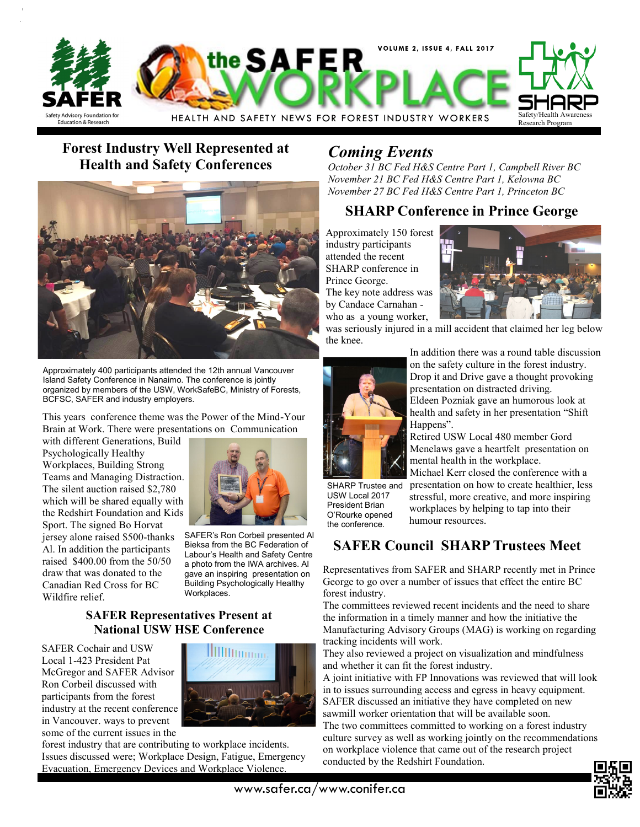

## **Forest Industry Well Represented at Health and Safety Conferences**



Approximately 400 participants attended the 12th annual Vancouver Island Safety Conference in Nanaimo. The conference is jointly organized by members of the USW, WorkSafeBC, Ministry of Forests, BCFSC, SAFER and industry employers.

This years conference theme was the Power of the Mind-Your Brain at Work. There were presentations on Communication

with different Generations, Build Psychologically Healthy Workplaces, Building Strong Teams and Managing Distraction. The silent auction raised \$2,780 which will be shared equally with the Redshirt Foundation and Kids Sport. The signed Bo Horvat jersey alone raised \$500-thanks Al. In addition the participants raised \$400.00 from the 50/50 draw that was donated to the Canadian Red Cross for BC Wildfire relief.



SAFER's Ron Corbeil presented Al Bieksa from the BC Federation of Labour's Health and Safety Centre a photo from the IWA archives. Al gave an inspiring presentation on Building Psychologically Healthy Workplaces.

#### **SAFER Representatives Present at National USW HSE Conference**

SAFER Cochair and USW Local 1-423 President Pat McGregor and SAFER Advisor Ron Corbeil discussed with participants from the forest industry at the recent conference in Vancouver. ways to prevent some of the current issues in the



forest industry that are contributing to workplace incidents. Issues discussed were; Workplace Design, Fatigue, Emergency Evacuation, Emergency Devices and Workplace Violence.

## *Coming Events*

*October 31 BC Fed H&S Centre Part 1, Campbell River BC November 21 BC Fed H&S Centre Part 1, Kelowna BC November 27 BC Fed H&S Centre Part 1, Princeton BC*

### **SHARP Conference in Prince George**

Approximately 150 forest industry participants attended the recent SHARP conference in Prince George. The key note address was by Candace Carnahan who as a young worker,



was seriously injured in a mill accident that claimed her leg below the knee.



In addition there was a round table discussion on the safety culture in the forest industry. Drop it and Drive gave a thought provoking presentation on distracted driving. Eldeen Pozniak gave an humorous look at

health and safety in her presentation "Shift Happens".

Retired USW Local 480 member Gord Menelaws gave a heartfelt presentation on mental health in the workplace.

SHARP Trustee and USW Local 2017 President Brian O'Rourke opened the conference.

Michael Kerr closed the conference with a presentation on how to create healthier, less stressful, more creative, and more inspiring workplaces by helping to tap into their humour resources.

## **SAFER Council SHARP Trustees Meet**

Representatives from SAFER and SHARP recently met in Prince George to go over a number of issues that effect the entire BC forest industry.

The committees reviewed recent incidents and the need to share the information in a timely manner and how the initiative the Manufacturing Advisory Groups (MAG) is working on regarding tracking incidents will work.

They also reviewed a project on visualization and mindfulness and whether it can fit the forest industry.

A joint initiative with FP Innovations was reviewed that will look in to issues surrounding access and egress in heavy equipment. SAFER discussed an initiative they have completed on new sawmill worker orientation that will be available soon.

The two committees committed to working on a forest industry culture survey as well as working jointly on the recommendations on workplace violence that came out of the research project conducted by the Redshirt Foundation.